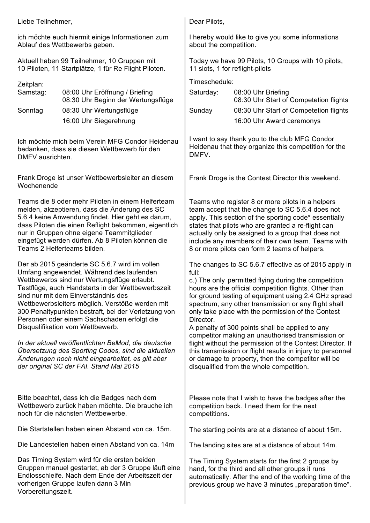Liebe Teilnehmer,

ich möchte euch hiermit einige Informationen zum Ablauf des Wettbewerbs geben.

Aktuell haben 99 Teilnehmer, 10 Gruppen mit 10 Piloten, 11 Startplätze, 1 für Re Flight Piloten.

Zeitplan:

| Samstag: | 08:00 Uhr Eröffnung / Briefing     |
|----------|------------------------------------|
|          | 08:30 Uhr Beginn der Wertungsflüge |
| Sonntag  | 08:30 Uhr Wertungsflüge            |
|          | 16:00 Uhr Siegerehrung             |

Ich möchte mich beim Verein MFG Condor Heidenau bedanken, dass sie diesen Wettbewerb für den DMFV ausrichten.

Frank Droge ist unser Wettbewerbsleiter an diesem Wochenende

Teams die 8 oder mehr Piloten in einem Helferteam melden, akzeptieren, dass die Änderung des SC 5.6.4 keine Anwendung findet. Hier geht es darum, dass Piloten die einen Reflight bekommen, eigentlich nur in Gruppen ohne eigene Teammitglieder eingefügt werden dürfen. Ab 8 Piloten können die Teams 2 Helferteams bilden.

Der ab 2015 geänderte SC 5.6.7 wird im vollen Umfang angewendet. Während des laufenden Wettbewerbs sind nur Wertungsflüge erlaubt. Testflüge, auch Handstarts in der Wettbewerbszeit sind nur mit dem Einverständnis des Wettbewerbsleiters möglich. Verstöße werden mit 300 Penaltypunkten bestraft, bei der Verletzung von Personen oder einem Sachschaden erfolgt die Disqualifikation vom Wettbewerb.

*In der aktuell veröffentlichten BeMod, die deutsche Übersetzung des Sporting Codes, sind die aktuellen Änderungen noch nicht eingearbeitet, es gilt aber der original SC der FAI. Stand Mai 2015*

Bitte beachtet, dass ich die Badges nach dem Wettbewerb zurück haben möchte. Die brauche ich noch für die nächsten Wettbewerbe.

Die Startstellen haben einen Abstand von ca. 15m.

Die Landestellen haben einen Abstand von ca. 14m

Das Timing System wird für die ersten beiden Gruppen manuel gestartet, ab der 3 Gruppe läuft eine Endlosschleife. Nach dem Ende der Arbeitszeit der vorherigen Gruppe laufen dann 3 Min Vorbereitungszeit.

Dear Pilots,

I hereby would like to give you some informations about the competition.

Today we have 99 Pilots, 10 Groups with 10 pilots, 11 slots, 1 for reflight-pilots

Timeschedule:

| Saturday: | 08:00 Uhr Briefing                     |
|-----------|----------------------------------------|
|           | 08:30 Uhr Start of Competetion flights |
| Sunday    | 08:30 Uhr Start of Competetion flights |
|           | 16:00 Uhr Award ceremonys              |

I want to say thank you to the club MFG Condor Heidenau that they organize this competition for the DMFV.

Frank Droge is the Contest Director this weekend.

Teams who register 8 or more pilots in a helpers team accept that the change to SC 5.6.4 does not apply. This section of the sporting code\* essentially states that pilots who are granted a re-flight can actually only be assigned to a group that does not include any members of their own team. Teams with 8 or more pilots can form 2 teams of helpers.

The changes to SC 5.6.7 effective as of 2015 apply in full:

c.) The only permitted flying during the competition hours are the official competition flights. Other than for ground testing of equipment using 2.4 GHz spread spectrum, any other transmission or any flight shall only take place with the permission of the Contest Director.

A penalty of 300 points shall be applied to any competitor making an unauthorised transmission or flight without the permission of the Contest Director. If this transmission or flight results in injury to personnel or damage to property, then the competitor will be disqualified from the whole competition.

Please note that I wish to have the badges after the competition back. I need them for the next competitions.

The starting points are at a distance of about 15m.

The landing sites are at a distance of about 14m.

The Timing System starts for the first 2 groups by hand, for the third and all other groups it runs automatically. After the end of the working time of the previous group we have 3 minutes "preparation time".